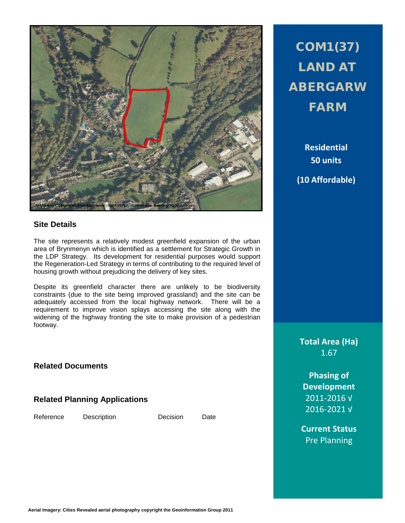

## **Site Details**

The site represents a relatively modest greenfield expansion of the urban area of Brynmenyn which is identified as a settlement for Strategic Growth in the LDP Strategy. Its development for residential purposes would support the Regeneration-Led Strategy in terms of contributing to the required level of housing growth without prejudicing the delivery of key sites.

Despite its greenfield character there are unlikely to be biodiversity constraints (due to the site being improved grassland) and the site can be adequately accessed from the local highway network. There will be a requirement to improve vision splays accessing the site along with the widening of the highway fronting the site to make provision of a pedestrian footway.

**Related Documents**

**Related Planning Applications**

Reference Description Decision Date

## COM1(37) LAND AT ABERGARW FARM

**Residential 50 units (10 Affordable)**

**Total Area (Ha)** 1.67

**Phasing of Development** 2011-2016 √ 2016-2021 √

**Current Status** Pre Planning